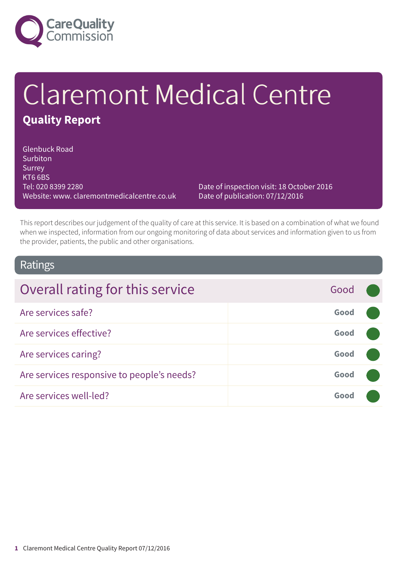

# Claremont Medical Centre **Quality Report**

Glenbuck Road **Surbiton** Surrey KT6 6BS Tel: 020 8399 2280 Website: www. claremontmedicalcentre.co.uk

Date of inspection visit: 18 October 2016 Date of publication: 07/12/2016

This report describes our judgement of the quality of care at this service. It is based on a combination of what we found when we inspected, information from our ongoing monitoring of data about services and information given to us from the provider, patients, the public and other organisations.

### Ratings

| Overall rating for this service            | Good |  |
|--------------------------------------------|------|--|
| Are services safe?                         | Good |  |
| Are services effective?                    | Good |  |
| Are services caring?                       | Good |  |
| Are services responsive to people's needs? | Good |  |
| Are services well-led?                     | Good |  |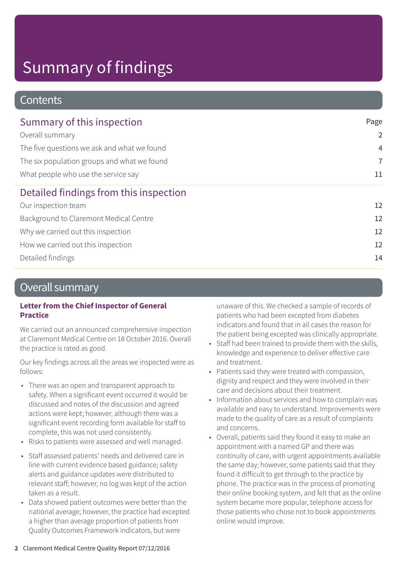### **Contents**

| Summary of this inspection                                                                                                                           | Page           |
|------------------------------------------------------------------------------------------------------------------------------------------------------|----------------|
| Overall summary<br>The five questions we ask and what we found<br>The six population groups and what we found<br>What people who use the service say | $\overline{2}$ |
|                                                                                                                                                      | $\overline{4}$ |
|                                                                                                                                                      | $\overline{7}$ |
|                                                                                                                                                      | 11             |
| Detailed findings from this inspection                                                                                                               |                |
| Our inspection team                                                                                                                                  | 12             |
| Background to Claremont Medical Centre                                                                                                               | 12             |
| Why we carried out this inspection                                                                                                                   | 12             |
| How we carried out this inspection                                                                                                                   | 12             |
| Detailed findings                                                                                                                                    | 14             |
|                                                                                                                                                      |                |

### Overall summary

#### **Letter from the Chief Inspector of General Practice**

We carried out an announced comprehensive inspection at Claremont Medical Centre on 18 October 2016. Overall the practice is rated as good.

Our key findings across all the areas we inspected were as follows:

- There was an open and transparent approach to safety. When a significant event occurred it would be discussed and notes of the discussion and agreed actions were kept; however, although there was a significant event recording form available for staff to complete, this was not used consistently.
- Risks to patients were assessed and well managed.
- Staff assessed patients' needs and delivered care in line with current evidence based guidance; safety alerts and guidance updates were distributed to relevant staff; however, no log was kept of the action taken as a result.
- Data showed patient outcomes were better than the national average; however, the practice had excepted a higher than average proportion of patients from Quality Outcomes Framework indicators, but were

unaware of this. We checked a sample of records of patients who had been excepted from diabetes indicators and found that in all cases the reason for the patient being excepted was clinically appropriate.

- Staff had been trained to provide them with the skills, knowledge and experience to deliver effective care and treatment.
- Patients said they were treated with compassion, dignity and respect and they were involved in their care and decisions about their treatment.
- Information about services and how to complain was available and easy to understand. Improvements were made to the quality of care as a result of complaints and concerns.
- Overall, patients said they found it easy to make an appointment with a named GP and there was continuity of care, with urgent appointments available the same day; however, some patients said that they found it difficult to get through to the practice by phone. The practice was in the process of promoting their online booking system, and felt that as the online system became more popular, telephone access for those patients who chose not to book appointments online would improve.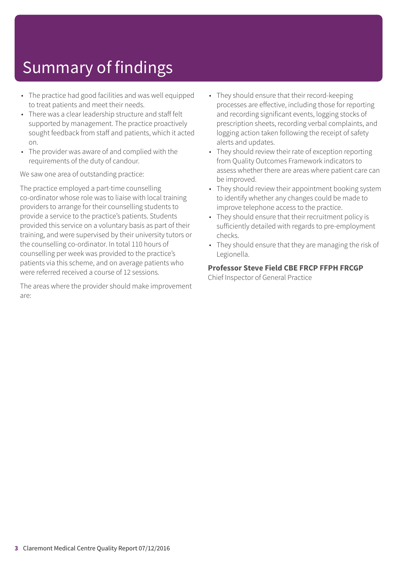- The practice had good facilities and was well equipped to treat patients and meet their needs.
- There was a clear leadership structure and staff felt supported by management. The practice proactively sought feedback from staff and patients, which it acted on.
- The provider was aware of and complied with the requirements of the duty of candour.

We saw one area of outstanding practice:

The practice employed a part-time counselling co-ordinator whose role was to liaise with local training providers to arrange for their counselling students to provide a service to the practice's patients. Students provided this service on a voluntary basis as part of their training, and were supervised by their university tutors or the counselling co-ordinator. In total 110 hours of counselling per week was provided to the practice's patients via this scheme, and on average patients who were referred received a course of 12 sessions.

The areas where the provider should make improvement are:

- They should ensure that their record-keeping processes are effective, including those for reporting and recording significant events, logging stocks of prescription sheets, recording verbal complaints, and logging action taken following the receipt of safety alerts and updates.
- They should review their rate of exception reporting from Quality Outcomes Framework indicators to assess whether there are areas where patient care can be improved.
- They should review their appointment booking system to identify whether any changes could be made to improve telephone access to the practice.
- They should ensure that their recruitment policy is sufficiently detailed with regards to pre-employment checks.
- They should ensure that they are managing the risk of Legionella.

#### **Professor Steve Field CBE FRCP FFPH FRCGP**

Chief Inspector of General Practice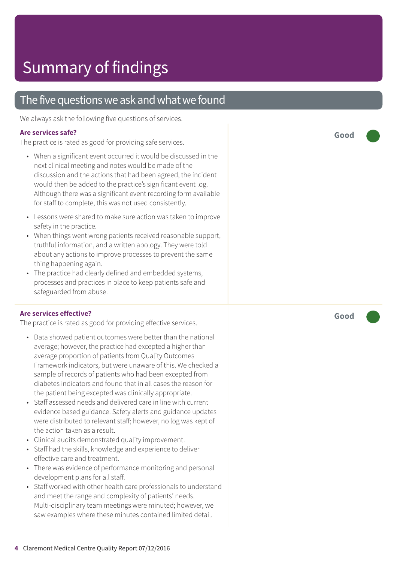### The five questions we ask and what we found

We always ask the following five questions of services.

#### **Are services safe?**

The practice is rated as good for providing safe services.

- When a significant event occurred it would be discussed in the next clinical meeting and notes would be made of the discussion and the actions that had been agreed, the incident would then be added to the practice's significant event log. Although there was a significant event recording form available for staff to complete, this was not used consistently.
- Lessons were shared to make sure action was taken to improve safety in the practice.
- When things went wrong patients received reasonable support, truthful information, and a written apology. They were told about any actions to improve processes to prevent the same thing happening again.
- The practice had clearly defined and embedded systems, processes and practices in place to keep patients safe and safeguarded from abuse.

#### **Are services effective?**

The practice is rated as good for providing effective services.

- Data showed patient outcomes were better than the national average; however, the practice had excepted a higher than average proportion of patients from Quality Outcomes Framework indicators, but were unaware of this. We checked a sample of records of patients who had been excepted from diabetes indicators and found that in all cases the reason for the patient being excepted was clinically appropriate.
- Staff assessed needs and delivered care in line with current evidence based guidance. Safety alerts and guidance updates were distributed to relevant staff; however, no log was kept of the action taken as a result.
- Clinical audits demonstrated quality improvement.
- Staff had the skills, knowledge and experience to deliver effective care and treatment.
- There was evidence of performance monitoring and personal development plans for all staff.
- Staff worked with other health care professionals to understand and meet the range and complexity of patients' needs. Multi-disciplinary team meetings were minuted; however, we saw examples where these minutes contained limited detail.

**Good –––**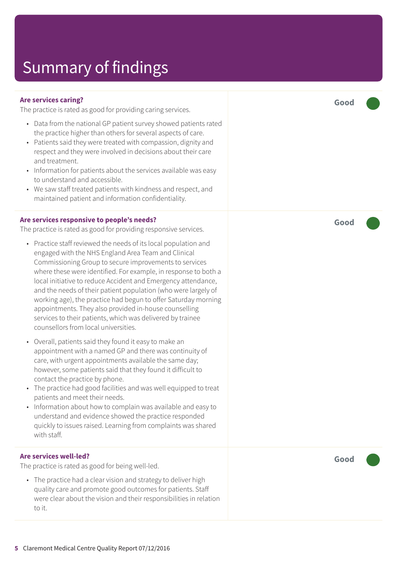#### **Are services caring?**

The practice is rated as good for providing caring services.

- Data from the national GP patient survey showed patients rated the practice higher than others for several aspects of care.
- Patients said they were treated with compassion, dignity and respect and they were involved in decisions about their care and treatment.
- Information for patients about the services available was easy to understand and accessible.
- We saw staff treated patients with kindness and respect, and maintained patient and information confidentiality.

#### **Are services responsive to people's needs?**

The practice is rated as good for providing responsive services.

- Practice staff reviewed the needs of its local population and engaged with the NHS England Area Team and Clinical Commissioning Group to secure improvements to services where these were identified. For example, in response to both a local initiative to reduce Accident and Emergency attendance, and the needs of their patient population (who were largely of working age), the practice had begun to offer Saturday morning appointments. They also provided in-house counselling services to their patients, which was delivered by trainee counsellors from local universities.
- Overall, patients said they found it easy to make an appointment with a named GP and there was continuity of care, with urgent appointments available the same day; however, some patients said that they found it difficult to contact the practice by phone.
- The practice had good facilities and was well equipped to treat patients and meet their needs.
- Information about how to complain was available and easy to understand and evidence showed the practice responded quickly to issues raised. Learning from complaints was shared with staff.

#### **Are services well-led?**

The practice is rated as good for being well-led.

• The practice had a clear vision and strategy to deliver high quality care and promote good outcomes for patients. Staff were clear about the vision and their responsibilities in relation to it.

**Good –––**

**Good –––**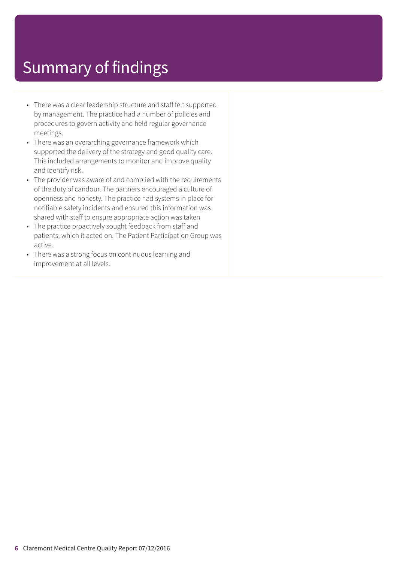- There was a clear leadership structure and staff felt supported by management. The practice had a number of policies and procedures to govern activity and held regular governance meetings.
- There was an overarching governance framework which supported the delivery of the strategy and good quality care. This included arrangements to monitor and improve quality and identify risk.
- The provider was aware of and complied with the requirements of the duty of candour. The partners encouraged a culture of openness and honesty. The practice had systems in place for notifiable safety incidents and ensured this information was shared with staff to ensure appropriate action was taken
- The practice proactively sought feedback from staff and patients, which it acted on. The Patient Participation Group was active.
- There was a strong focus on continuous learning and improvement at all levels.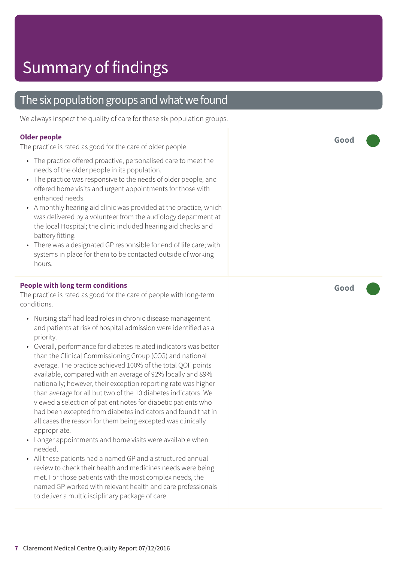### The six population groups and what we found

We always inspect the quality of care for these six population groups.

#### **Older people**

The practice is rated as good for the care of older people.

- The practice offered proactive, personalised care to meet the needs of the older people in its population.
- The practice was responsive to the needs of older people, and offered home visits and urgent appointments for those with enhanced needs.
- A monthly hearing aid clinic was provided at the practice, which was delivered by a volunteer from the audiology department at the local Hospital; the clinic included hearing aid checks and battery fitting.
- There was a designated GP responsible for end of life care; with systems in place for them to be contacted outside of working hours.

#### **People with long term conditions**

The practice is rated as good for the care of people with long-term conditions.

- Nursing staff had lead roles in chronic disease management and patients at risk of hospital admission were identified as a priority.
- Overall, performance for diabetes related indicators was better than the Clinical Commissioning Group (CCG) and national average. The practice achieved 100% of the total QOF points available, compared with an average of 92% locally and 89% nationally; however, their exception reporting rate was higher than average for all but two of the 10 diabetes indicators. We viewed a selection of patient notes for diabetic patients who had been excepted from diabetes indicators and found that in all cases the reason for them being excepted was clinically appropriate.
- Longer appointments and home visits were available when needed.
- All these patients had a named GP and a structured annual review to check their health and medicines needs were being met. For those patients with the most complex needs, the named GP worked with relevant health and care professionals to deliver a multidisciplinary package of care.

**Good –––**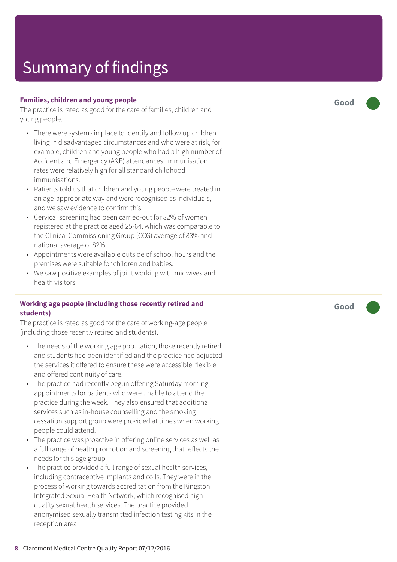#### **Families, children and young people**

The practice is rated as good for the care of families, children and young people.

- There wer e systems in plac e t o identify and follow up children living in disadvantaged circumstances and who wer e at risk , for example, children and young people who had a high number of Accident and Emer genc y (A&E) attendances. Immunisation rates wer e relatively high for all standar d childhood immunisations.
- Patients told us that children and young people wer e tr eated in an ag e-appropriat e way and wer e recognised as individuals, and we saw evidenc e t o confirm this.
- Cervical screening had been carried-out for 82% of women registered at the practice aged 25-64, which was comparable to the Clinical Commissioning Group (C CG) averag e of 83% and national averag e of 82%.
- Appointments wer e available outside of school hour s and the premises wer e suitable for children and babies.
- We saw positive examples of joint working with midwives and health visitors.

#### **Working ag e people (including those recently r etired and students)**

The practice is rated as good for the care of working-age people (including those recently retired and students).

- The needs of the working age population, those recently retired and students had been identified and the practic e had adjusted the services it offered to ensure these were accessible, flexible and offered continuity of care.
- The practic e had recently begun offering Saturday morning appointments for patients who were unable to attend the practic e during the week. The y also ensured that additional services such as in-house counselling and the smoking cessation support group wer e provided at times when working people could attend.
- The practice was proactive in offering online services as well as a full rang e of health promotion and screening that reflects the needs for this ag e group.
- The practice provided a full rang e of sexual health services, including contraceptive implants and coils. The y wer e in the process of working towards accreditation from the Kingston Int egrated Sexual Health Network , which recognised high quality sexual health services. The practic e provided anonymised sexually transmitted infection testing kits in the reception ar ea.

**Good –––**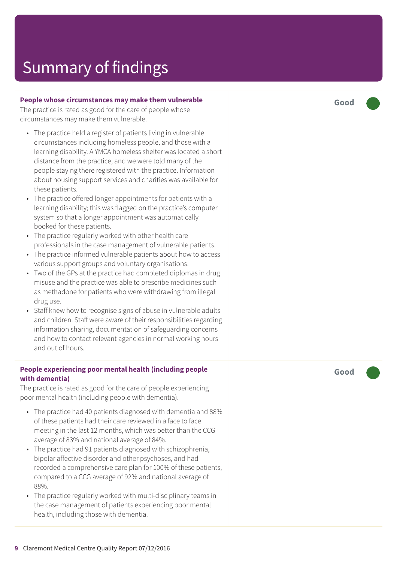#### **People whose circumstances may mak e them vulnerable**

The practic e is rated as good for the car e of people whose circumstances may mak e them vulnerable.

- The practice held a register of patients living in vulnerable circumstances including homeless people, and those with a learning disability. A YMCA homeless shelter was located a short distanc e from the practice, and we wer e told many of the people staying there registered with the practice. Information about housing support services and charities was available for these patients.
- The practic e offered longer appointments for patients with a learning disability; this was flagged on the practic e ' s computer system so that a longer appointment was automatically booked for these patients.
- The practice regularly worked with other health care professionals in the case management of vulnerable patients.
- The practice informed vulnerable patients about how to access various support groups and voluntar y or ganisations.
- Two of the GPs at the practice had completed diplomas in drug misuse and the practice was able to prescribe medicines such as methadone for patients who were withdrawing from illegal drug use.
- Staff knew how to recognise signs of abuse in vulnerable adults and children. Staff wer e awar e of their responsibilities r e garding information sharing, documentation of saf eguarding concerns and how to contact relevant agencies in normal working hours and out of hours.

#### **People experiencing poor mental health (including people with dementia)**

The practice is rated as good for the care of people experiencing poor mental health (including people with dementia).

- The practice had 40 patients diagnosed with dementia and 88% of these patients had their care reviewed in a face to face meeting in the last 12 months, which was better than the C C G averag e of 83% and national averag e of 84%.
- The practice had 91 patients diagnosed with schizophrenia, bipolar affective disorder and other psychoses, and had recorded a comprehensive care plan for 100% of these patients, compared to a CCG average of 92% and national average of 88%.
- The practice regularly worked with multi-disciplinary teams in the case management of patients experiencing poor mental health, including those with dementia.

**Good –––**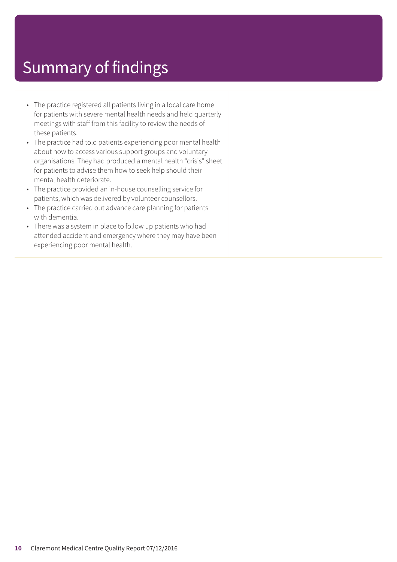- The practice registered all patients living in a local care home for patients with severe mental health needs and held quarterly meetings with staff from this facility to review the needs of these patients.
- The practice had told patients experiencing poor mental health about how to access various support groups and voluntary organisations. They had produced a mental health "crisis" sheet for patients to advise them how to seek help should their mental health deteriorate.
- The practice provided an in-house counselling service for patients, which was delivered by volunteer counsellors.
- The practice carried out advance care planning for patients with dementia.
- There was a system in place to follow up patients who had attended accident and emergency where they may have been experiencing poor mental health.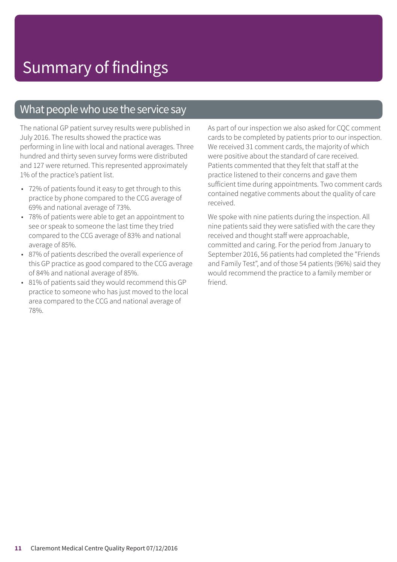### What people who use the service say

The national GP patient survey results were published in July 2016. The results showed the practice was performing in line with local and national averages. Three hundred and thirty seven survey forms were distributed and 127 were returned. This represented approximately 1% of the practice's patient list.

- 72% of patients found it easy to get through to this practice by phone compared to the CCG average of 69% and national average of 73%.
- 78% of patients were able to get an appointment to see or speak to someone the last time they tried compared to the CCG average of 83% and national average of 85%.
- 87% of patients described the overall experience of this GP practice as good compared to the CCG average of 84% and national average of 85%.
- 81% of patients said they would recommend this GP practice to someone who has just moved to the local area compared to the CCG and national average of 78%.

As part of our inspection we also asked for CQC comment cards to be completed by patients prior to our inspection. We received 31 comment cards, the majority of which were positive about the standard of care received. Patients commented that they felt that staff at the practice listened to their concerns and gave them sufficient time during appointments. Two comment cards contained negative comments about the quality of care received.

We spoke with nine patients during the inspection. All nine patients said they were satisfied with the care they received and thought staff were approachable, committed and caring. For the period from January to September 2016, 56 patients had completed the "Friends and Family Test", and of those 54 patients (96%) said they would recommend the practice to a family member or friend.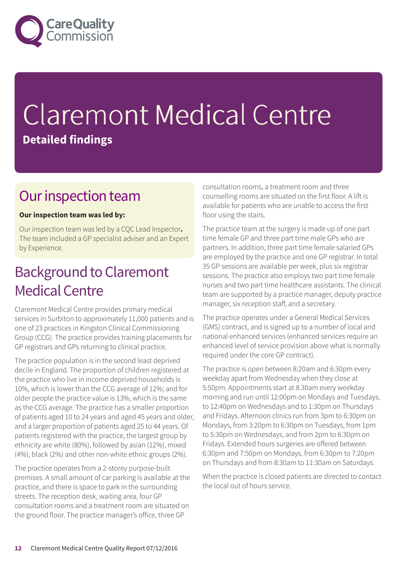

# Claremont Medical Centre **Detailed findings**

### Our inspection team

#### **Our inspection team was led by:**

Our inspection team was led by a CQC Lead Inspector**.** The team included a GP specialist adviser and an Expert by Experience.

### **Background to Claremont Medical Centre**

Claremont Medical Centre provides primary medical services in Surbiton to approximately 11,000 patients and is one of 23 practices in Kingston Clinical Commissioning Group (CCG). The practice provides training placements for GP registrars and GPs returning to clinical practice.

The practice population is in the second least deprived decile in England. The proportion of children registered at the practice who live in income deprived households is 10%, which is lower than the CCG average of 12%; and for older people the practice value is 13%, which is the same as the CCG average. The practice has a smaller proportion of patients aged 10 to 24 years and aged 45 years and older, and a larger proportion of patients aged 25 to 44 years. Of patients registered with the practice, the largest group by ethnicity are white (80%), followed by asian (12%), mixed (4%), black (2%) and other non-white ethnic groups (2%).

The practice operates from a 2-storey purpose-built premises. A small amount of car parking is available at the practice, and there is space to park in the surrounding streets. The reception desk, waiting area, four GP consultation rooms and a treatment room are situated on the ground floor. The practice manager's office, three GP

consultation rooms, a treatment room and three counselling rooms are situated on the first floor. A lift is available for patients who are unable to access the first floor using the stairs.

The practice team at the surgery is made up of one part time female GP and three part time male GPs who are partners. In addition, three part time female salaried GPs are employed by the practice and one GP registrar. In total 35 GP sessions are available per week, plus six registrar sessions. The practice also employs two part time female nurses and two part time healthcare assistants. The clinical team are supported by a practice manager, deputy practice manager, six reception staff, and a secretary.

The practice operates under a General Medical Services (GMS) contract, and is signed up to a number of local and national enhanced services (enhanced services require an enhanced level of service provision above what is normally required under the core GP contract).

The practice is open between 8:20am and 6:30pm every weekday apart from Wednesday when they close at 5:50pm. Appointments start at 8.30am every weekday morning and run until 12:00pm on Mondays and Tuesdays, to 12:40pm on Wednesdays and to 1:30pm on Thursdays and Fridays. Afternoon clinics run from 3pm to 6:30pm on Mondays, from 3:20pm to 6:30pm on Tuesdays, from 1pm to 5:30pm on Wednesdays, and from 2pm to 6:30pm on Fridays. Extended hours surgeries are offered between 6:30pm and 7:50pm on Mondays, from 6:30pm to 7:20pm on Thursdays and from 8:30am to 11:30am on Saturdays.

When the practice is closed patients are directed to contact the local out of hours service.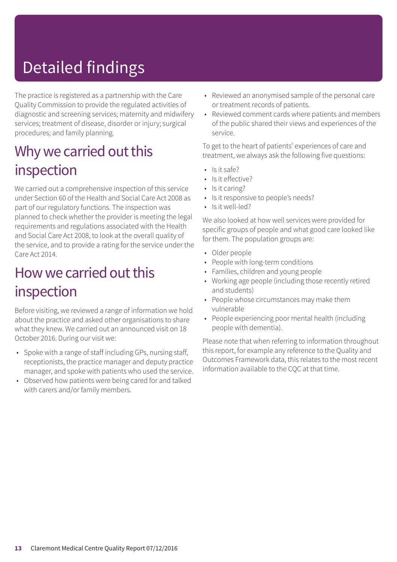# Detailed findings

The practice is registered as a partnership with the Care Quality Commission to provide the regulated activities of diagnostic and screening services; maternity and midwifery services; treatment of disease, disorder or injury; surgical procedures; and family planning.

### Why we carried out this inspection

We carried out a comprehensive inspection of this service under Section 60 of the Health and Social Care Act 2008 as part of our regulatory functions. The inspection was planned to check whether the provider is meeting the legal requirements and regulations associated with the Health and Social Care Act 2008, to look at the overall quality of the service, and to provide a rating for the service under the Care Act 2014.

### How we carried out this inspection

Before visiting, we reviewed a range of information we hold about the practice and asked other organisations to share what they knew. We carried out an announced visit on 18 October 2016. During our visit we:

- Spoke with a range of staff including GPs, nursing staff, receptionists, the practice manager and deputy practice manager, and spoke with patients who used the service.
- Observed how patients were being cared for and talked with carers and/or family members.
- Reviewed an anonymised sample of the personal care or treatment records of patients.
- Reviewed comment cards where patients and members of the public shared their views and experiences of the service.

To get to the heart of patients' experiences of care and treatment, we always ask the following five questions:

- Is it safe?
- Is it effective?
- Is it caring?
- Is it responsive to people's needs?
- Is it well-led?

We also looked at how well services were provided for specific groups of people and what good care looked like for them. The population groups are:

- Older people
- People with long-term conditions
- Families, children and young people
- Working age people (including those recently retired and students)
- People whose circumstances may make them vulnerable
- People experiencing poor mental health (including people with dementia).

Please note that when referring to information throughout this report, for example any reference to the Quality and Outcomes Framework data, this relates to the most recent information available to the CQC at that time.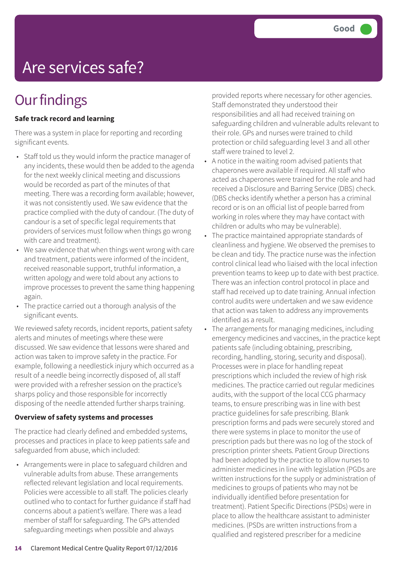## Are services safe?

### **Our findings**

#### **Safe track record and learning**

There was a system in place for reporting and recording significant events.

- Staff told us they would inform the practice manager of any incidents, these would then be added to the agenda for the next weekly clinical meeting and discussions would be recorded as part of the minutes of that meeting. There was a recording form available; however, it was not consistently used. We saw evidence that the practice complied with the duty of candour. (The duty of candour is a set of specific legal requirements that providers of services must follow when things go wrong with care and treatment).
- We saw evidence that when things went wrong with care and treatment, patients were informed of the incident, received reasonable support, truthful information, a written apology and were told about any actions to improve processes to prevent the same thing happening again.
- The practice carried out a thorough analysis of the significant events.

We reviewed safety records, incident reports, patient safety alerts and minutes of meetings where these were discussed. We saw evidence that lessons were shared and action was taken to improve safety in the practice. For example, following a needlestick injury which occurred as a result of a needle being incorrectly disposed of, all staff were provided with a refresher session on the practice's sharps policy and those responsible for incorrectly disposing of the needle attended further sharps training.

#### **Overview of safety systems and processes**

The practice had clearly defined and embedded systems, processes and practices in place to keep patients safe and safeguarded from abuse, which included:

• Arrangements were in place to safeguard children and vulnerable adults from abuse. These arrangements reflected relevant legislation and local requirements. Policies were accessible to all staff. The policies clearly outlined who to contact for further guidance if staff had concerns about a patient's welfare. There was a lead member of staff for safeguarding. The GPs attended safeguarding meetings when possible and always

provided reports where necessary for other agencies. Staff demonstrated they understood their responsibilities and all had received training on safeguarding children and vulnerable adults relevant to their role. GPs and nurses were trained to child protection or child safeguarding level 3 and all other staff were trained to level 2.

- A notice in the waiting room advised patients that chaperones were available if required. All staff who acted as chaperones were trained for the role and had received a Disclosure and Barring Service (DBS) check. (DBS checks identify whether a person has a criminal record or is on an official list of people barred from working in roles where they may have contact with children or adults who may be vulnerable).
- The practice maintained appropriate standards of cleanliness and hygiene. We observed the premises to be clean and tidy. The practice nurse was the infection control clinical lead who liaised with the local infection prevention teams to keep up to date with best practice. There was an infection control protocol in place and staff had received up to date training. Annual infection control audits were undertaken and we saw evidence that action was taken to address any improvements identified as a result.
- The arrangements for managing medicines, including emergency medicines and vaccines, in the practice kept patients safe (including obtaining, prescribing, recording, handling, storing, security and disposal). Processes were in place for handling repeat prescriptions which included the review of high risk medicines. The practice carried out regular medicines audits, with the support of the local CCG pharmacy teams, to ensure prescribing was in line with best practice guidelines for safe prescribing. Blank prescription forms and pads were securely stored and there were systems in place to monitor the use of prescription pads but there was no log of the stock of prescription printer sheets. Patient Group Directions had been adopted by the practice to allow nurses to administer medicines in line with legislation (PGDs are written instructions for the supply or administration of medicines to groups of patients who may not be individually identified before presentation for treatment). Patient Specific Directions (PSDs) were in place to allow the healthcare assistant to administer medicines. (PSDs are written instructions from a qualified and registered prescriber for a medicine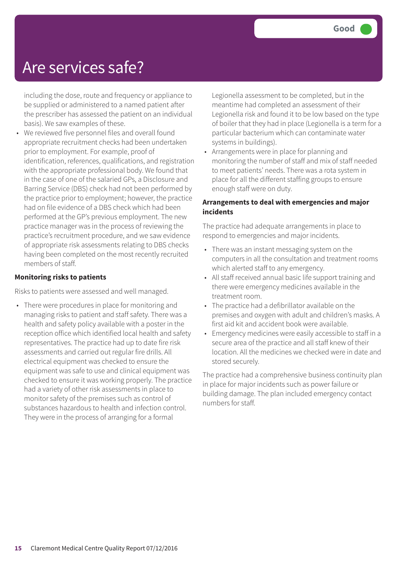### Are services safe?

including the dose, route and frequency or appliance to be supplied or administered to a named patient after the prescriber has assessed the patient on an individual basis). We saw examples of these.

• We reviewed five personnel files and overall found appropriate recruitment checks had been undertaken prior to employment. For example, proof of identification, references, qualifications, and registration with the appropriate professional body. We found that in the case of one of the salaried GPs, a Disclosure and Barring Service (DBS) check had not been performed by the practice prior to employment; however, the practice had on file evidence of a DBS check which had been performed at the GP's previous employment. The new practice manager was in the process of reviewing the practice's recruitment procedure, and we saw evidence of appropriate risk assessments relating to DBS checks having been completed on the most recently recruited members of staff.

#### **Monitoring risks to patients**

Risks to patients were assessed and well managed.

• There were procedures in place for monitoring and managing risks to patient and staff safety. There was a health and safety policy available with a poster in the reception office which identified local health and safety representatives. The practice had up to date fire risk assessments and carried out regular fire drills. All electrical equipment was checked to ensure the equipment was safe to use and clinical equipment was checked to ensure it was working properly. The practice had a variety of other risk assessments in place to monitor safety of the premises such as control of substances hazardous to health and infection control. They were in the process of arranging for a formal

Legionella assessment to be completed, but in the meantime had completed an assessment of their Legionella risk and found it to be low based on the type of boiler that they had in place (Legionella is a term for a particular bacterium which can contaminate water systems in buildings).

• Arrangements were in place for planning and monitoring the number of staff and mix of staff needed to meet patients' needs. There was a rota system in place for all the different staffing groups to ensure enough staff were on duty.

#### **Arrangements to deal with emergencies and major incidents**

The practice had adequate arrangements in place to respond to emergencies and major incidents.

- There was an instant messaging system on the computers in all the consultation and treatment rooms which alerted staff to any emergency.
- All staff received annual basic life support training and there were emergency medicines available in the treatment room.
- The practice had a defibrillator available on the premises and oxygen with adult and children's masks. A first aid kit and accident book were available.
- Emergency medicines were easily accessible to staff in a secure area of the practice and all staff knew of their location. All the medicines we checked were in date and stored securely.

The practice had a comprehensive business continuity plan in place for major incidents such as power failure or building damage. The plan included emergency contact numbers for staff.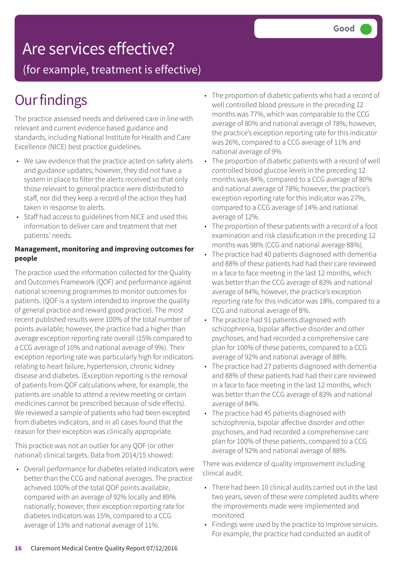## Are services effective?

(for example, treatment is effective)

### **Our findings**

The practice assessed needs and delivered care in line with relevant and current evidence based guidance and standards, including National Institute for Health and Care Excellence (NICE) best practice guidelines.

- We saw evidence that the practice acted on safety alerts and guidance updates; however, they did not have a system in place to filter the alerts received so that only those relevant to general practice were distributed to staff, nor did they keep a record of the action they had taken in response to alerts.
- Staff had access to guidelines from NICE and used this information to deliver care and treatment that met patients' needs.

#### **Management, monitoring and improving outcomes for people**

The practice used the information collected for the Quality and Outcomes Framework (QOF) and performance against national screening programmes to monitor outcomes for patients. (QOF is a system intended to improve the quality of general practice and reward good practice). The most recent published results were 100% of the total number of points available; however, the practice had a higher than average exception reporting rate overall (15% compared to a CCG average of 10% and national average of 9%). Their exception reporting rate was particularly high for indicators relating to heart failure, hypertension, chronic kidney disease and diabetes. (Exception reporting is the removal of patients from QOF calculations where, for example, the patients are unable to attend a review meeting or certain medicines cannot be prescribed because of side effects). We reviewed a sample of patients who had been excepted from diabetes indicators, and in all cases found that the reason for their exception was clinically appropriate.

This practice was not an outlier for any QOF (or other national) clinical targets. Data from 2014/15 showed:

• Overall performance for diabetes related indicators were better than the CCG and national averages. The practice achieved 100% of the total QOF points available, compared with an average of 92% locally and 89% nationally; however, their exception reporting rate for diabetes indicators was 15%, compared to a CCG average of 13% and national average of 11%.

- The proportion of diabetic patients who had a record of well controlled blood pressure in the preceding 12 months was 77%, which was comparable to the CCG average of 80% and national average of 78%; however, the practice's exception reporting rate for this indicator was 26%, compared to a CCG average of 11% and national average of 9%.
- The proportion of diabetic patients with a record of well controlled blood glucose levels in the preceding 12 months was 84%, compared to a CCG average of 80% and national average of 78%; however, the practice's exception reporting rate for this indicator was 27%, compared to a CCG average of 14% and national average of 12%.
- The proportion of these patients with a record of a foot examination and risk classification in the preceding 12 months was 98% (CCG and national average 88%).
- The practice had 40 patients diagnosed with dementia and 88% of these patients had had their care reviewed in a face to face meeting in the last 12 months, which was better than the CCG average of 83% and national average of 84%; however, the practice's exception reporting rate for this indicator was 18%, compared to a CCG and national average of 8%.
- The practice had 91 patients diagnosed with schizophrenia, bipolar affective disorder and other psychoses, and had recorded a comprehensive care plan for 100% of these patients, compared to a CCG average of 92% and national average of 88%.
- The practice had 27 patients diagnosed with dementia and 88% of these patients had had their care reviewed in a face to face meeting in the last 12 months, which was better than the CCG average of 83% and national average of 84%.
- The practice had 45 patients diagnosed with schizophrenia, bipolar affective disorder and other psychoses, and had recorded a comprehensive care plan for 100% of these patients, compared to a CCG average of 92% and national average of 88%.

There was evidence of quality improvement including clinical audit.

- There had been 10 clinical audits carried out in the last two years, seven of these were completed audits where the improvements made were implemented and monitored.
- Findings were used by the practice to improve services. For example, the practice had conducted an audit of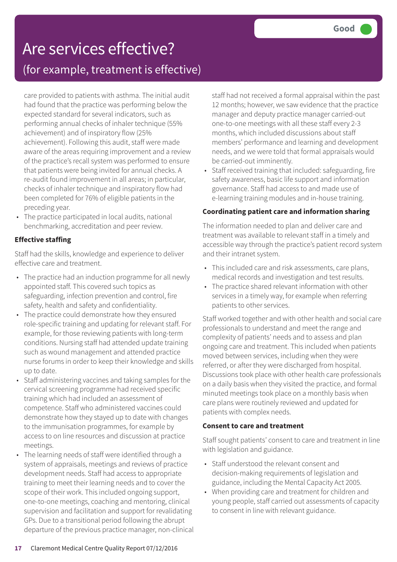# Are services effective?

(for example, treatment is effective)

care provided to patients with asthma. The initial audit had found that the practice was performing below the expected standard for several indicators, such as performing annual checks of inhaler technique (55% achievement) and of inspiratory flow (25% achievement). Following this audit, staff were made aware of the areas requiring improvement and a review of the practice's recall system was performed to ensure that patients were being invited for annual checks. A re-audit found improvement in all areas; in particular, checks of inhaler technique and inspiratory flow had been completed for 76% of eligible patients in the preceding year.

The practice participated in local audits, national benchmarking, accreditation and peer review.

#### **Effective staffing**

Staff had the skills, knowledge and experience to deliver effective care and treatment.

- The practice had an induction programme for all newly appointed staff. This covered such topics as safeguarding, infection prevention and control, fire safety, health and safety and confidentiality.
- The practice could demonstrate how they ensured role-specific training and updating for relevant staff. For example, for those reviewing patients with long-term conditions. Nursing staff had attended update training such as wound management and attended practice nurse forums in order to keep their knowledge and skills up to date.
- Staff administering vaccines and taking samples for the cervical screening programme had received specific training which had included an assessment of competence. Staff who administered vaccines could demonstrate how they stayed up to date with changes to the immunisation programmes, for example by access to on line resources and discussion at practice meetings.
- The learning needs of staff were identified through a system of appraisals, meetings and reviews of practice development needs. Staff had access to appropriate training to meet their learning needs and to cover the scope of their work. This included ongoing support, one-to-one meetings, coaching and mentoring, clinical supervision and facilitation and support for revalidating GPs. Due to a transitional period following the abrupt departure of the previous practice manager, non-clinical

staff had not received a formal appraisal within the past 12 months; however, we saw evidence that the practice manager and deputy practice manager carried-out one-to-one meetings with all these staff every 2-3 months, which included discussions about staff members' performance and learning and development needs, and we were told that formal appraisals would be carried-out imminently.

• Staff received training that included: safeguarding, fire safety awareness, basic life support and information governance. Staff had access to and made use of e-learning training modules and in-house training.

#### **Coordinating patient care and information sharing**

The information needed to plan and deliver care and treatment was available to relevant staff in a timely and accessible way through the practice's patient record system and their intranet system.

- This included care and risk assessments, care plans, medical records and investigation and test results.
- The practice shared relevant information with other services in a timely way, for example when referring patients to other services.

Staff worked together and with other health and social care professionals to understand and meet the range and complexity of patients' needs and to assess and plan ongoing care and treatment. This included when patients moved between services, including when they were referred, or after they were discharged from hospital. Discussions took place with other health care professionals on a daily basis when they visited the practice, and formal minuted meetings took place on a monthly basis when care plans were routinely reviewed and updated for patients with complex needs.

#### **Consent to care and treatment**

Staff sought patients' consent to care and treatment in line with legislation and guidance.

- Staff understood the relevant consent and decision-making requirements of legislation and guidance, including the Mental Capacity Act 2005.
- When providing care and treatment for children and young people, staff carried out assessments of capacity to consent in line with relevant guidance.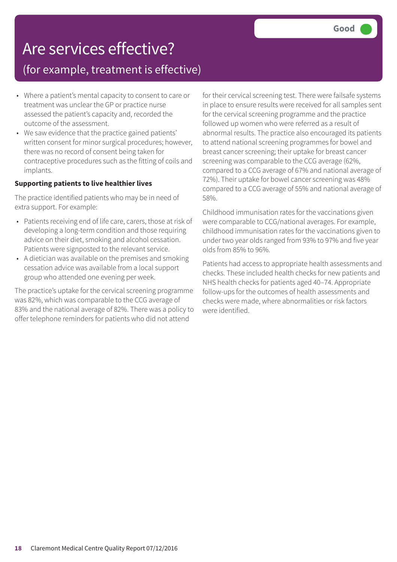### Are services effective?

### (for example, treatment is effective)

- Where a patient's mental capacity to consent to care or treatment was unclear the GP or practice nurse assessed the patient's capacity and, recorded the outcome of the assessment.
- We saw evidence that the practice gained patients' written consent for minor surgical procedures; however, there was no record of consent being taken for contraceptive procedures such as the fitting of coils and implants.

#### **Supporting patients to live healthier lives**

The practice identified patients who may be in need of extra support. For example:

- Patients receiving end of life care, carers, those at risk of developing a long-term condition and those requiring advice on their diet, smoking and alcohol cessation. Patients were signposted to the relevant service.
- A dietician was available on the premises and smoking cessation advice was available from a local support group who attended one evening per week.

The practice's uptake for the cervical screening programme was 82%, which was comparable to the CCG average of 83% and the national average of 82%. There was a policy to offer telephone reminders for patients who did not attend

for their cervical screening test. There were failsafe systems in place to ensure results were received for all samples sent for the cervical screening programme and the practice followed up women who were referred as a result of abnormal results. The practice also encouraged its patients to attend national screening programmes for bowel and breast cancer screening; their uptake for breast cancer screening was comparable to the CCG average (62%, compared to a CCG average of 67% and national average of 72%). Their uptake for bowel cancer screening was 48% compared to a CCG average of 55% and national average of 58%.

Childhood immunisation rates for the vaccinations given were comparable to CCG/national averages. For example, childhood immunisation rates for the vaccinations given to under two year olds ranged from 93% to 97% and five year olds from 85% to 96%.

Patients had access to appropriate health assessments and checks. These included health checks for new patients and NHS health checks for patients aged 40–74. Appropriate follow-ups for the outcomes of health assessments and checks were made, where abnormalities or risk factors were identified.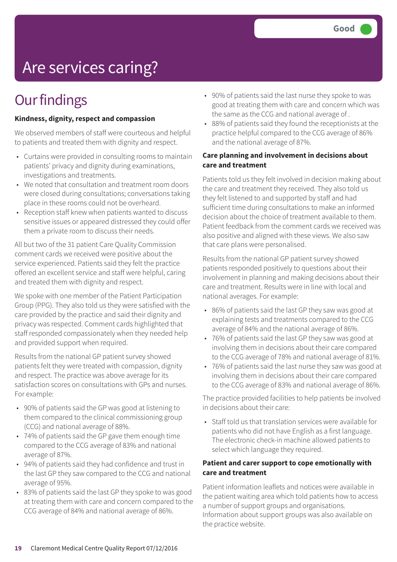# Are services caring?

### **Our findings**

#### **Kindness, dignity, respect and compassion**

We observed members of staff were courteous and helpful to patients and treated them with dignity and respect.

- Curtains were provided in consulting rooms to maintain patients' privacy and dignity during examinations, investigations and treatments.
- We noted that consultation and treatment room doors were closed during consultations; conversations taking place in these rooms could not be overheard.
- Reception staff knew when patients wanted to discuss sensitive issues or appeared distressed they could offer them a private room to discuss their needs.

All but two of the 31 patient Care Quality Commission comment cards we received were positive about the service experienced. Patients said they felt the practice offered an excellent service and staff were helpful, caring and treated them with dignity and respect.

We spoke with one member of the Patient Participation Group (PPG). They also told us they were satisfied with the care provided by the practice and said their dignity and privacy was respected. Comment cards highlighted that staff responded compassionately when they needed help and provided support when required.

Results from the national GP patient survey showed patients felt they were treated with compassion, dignity and respect. The practice was above average for its satisfaction scores on consultations with GPs and nurses. For example:

- 90% of patients said the GP was good at listening to them compared to the clinical commissioning group (CCG) and national average of 88%.
- 74% of patients said the GP gave them enough time compared to the CCG average of 83% and national average of 87%.
- 94% of patients said they had confidence and trust in the last GP they saw compared to the CCG and national average of 95%.
- 83% of patients said the last GP they spoke to was good at treating them with care and concern compared to the CCG average of 84% and national average of 86%.
- 90% of patients said the last nurse they spoke to was good at treating them with care and concern which was the same as the CCG and national average of .
- 88% of patients said they found the receptionists at the practice helpful compared to the CCG average of 86% and the national average of 87%.

#### **Care planning and involvement in decisions about care and treatment**

Patients told us they felt involved in decision making about the care and treatment they received. They also told us they felt listened to and supported by staff and had sufficient time during consultations to make an informed decision about the choice of treatment available to them. Patient feedback from the comment cards we received was also positive and aligned with these views. We also saw that care plans were personalised.

Results from the national GP patient survey showed patients responded positively to questions about their involvement in planning and making decisions about their care and treatment. Results were in line with local and national averages. For example:

- 86% of patients said the last GP they saw was good at explaining tests and treatments compared to the CCG average of 84% and the national average of 86%.
- 76% of patients said the last GP they saw was good at involving them in decisions about their care compared to the CCG average of 78% and national average of 81%.
- 76% of patients said the last nurse they saw was good at involving them in decisions about their care compared to the CCG average of 83% and national average of 86%.

The practice provided facilities to help patients be involved in decisions about their care:

• Staff told us that translation services were available for patients who did not have English as a first language. The electronic check-in machine allowed patients to select which language they required.

#### **Patient and carer support to cope emotionally with care and treatment**

Patient information leaflets and notices were available in the patient waiting area which told patients how to access a number of support groups and organisations. Information about support groups was also available on the practice website.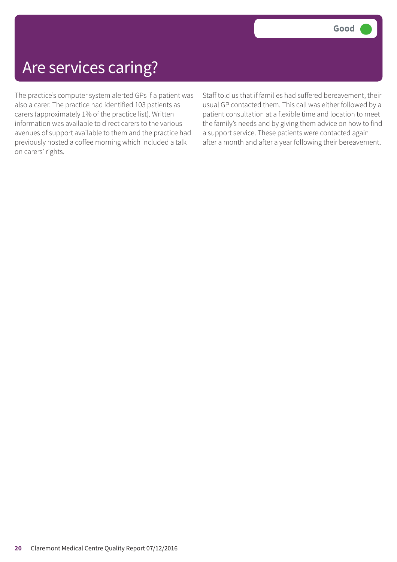### Are services caring?

The practice's computer system alerted GPs if a patient was also a carer. The practice had identified 103 patients as carers (approximately 1% of the practice list). Written information was available to direct carers to the various avenues of support available to them and the practice had previously hosted a coffee morning which included a talk on carers' rights.

Staff told us that if families had suffered bereavement, their usual GP contacted them. This call was either followed by a patient consultation at a flexible time and location to meet the family's needs and by giving them advice on how to find a support service. These patients were contacted again after a month and after a year following their bereavement.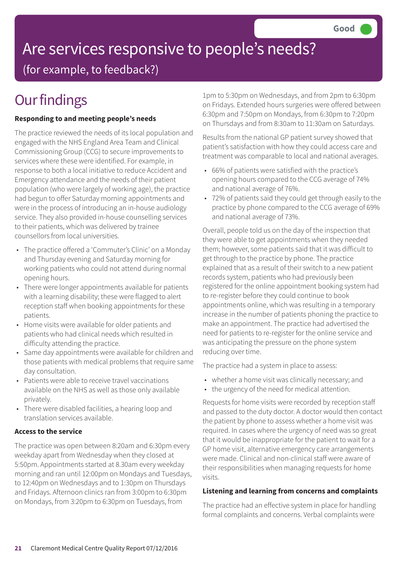# Are services responsive to people's needs?

(for example, to feedback?)

## **Our findings**

#### **Responding to and meeting people's needs**

The practice reviewed the needs of its local population and engaged with the NHS England Area Team and Clinical Commissioning Group (CCG) to secure improvements to services where these were identified. For example, in response to both a local initiative to reduce Accident and Emergency attendance and the needs of their patient population (who were largely of working age), the practice had begun to offer Saturday morning appointments and were in the process of introducing an in-house audiology service. They also provided in-house counselling services to their patients, which was delivered by trainee counsellors from local universities.

- The practice offered a 'Commuter's Clinic' on a Monday and Thursday evening and Saturday morning for working patients who could not attend during normal opening hours.
- There were longer appointments available for patients with a learning disability; these were flagged to alert reception staff when booking appointments for these patients.
- Home visits were available for older patients and patients who had clinical needs which resulted in difficulty attending the practice.
- Same day appointments were available for children and those patients with medical problems that require same day consultation.
- Patients were able to receive travel vaccinations available on the NHS as well as those only available privately.
- There were disabled facilities, a hearing loop and translation services available.

#### **Access to the service**

The practice was open between 8:20am and 6:30pm every weekday apart from Wednesday when they closed at 5:50pm. Appointments started at 8.30am every weekday morning and ran until 12:00pm on Mondays and Tuesdays, to 12:40pm on Wednesdays and to 1:30pm on Thursdays and Fridays. Afternoon clinics ran from 3:00pm to 6:30pm on Mondays, from 3:20pm to 6:30pm on Tuesdays, from

1pm to 5:30pm on Wednesdays, and from 2pm to 6:30pm on Fridays. Extended hours surgeries were offered between 6:30pm and 7:50pm on Mondays, from 6:30pm to 7:20pm on Thursdays and from 8:30am to 11:30am on Saturdays.

Results from the national GP patient survey showed that patient's satisfaction with how they could access care and treatment was comparable to local and national averages.

- 66% of patients were satisfied with the practice's opening hours compared to the CCG average of 74% and national average of 76%.
- 72% of patients said they could get through easily to the practice by phone compared to the CCG average of 69% and national average of 73%.

Overall, people told us on the day of the inspection that they were able to get appointments when they needed them; however, some patients said that it was difficult to get through to the practice by phone. The practice explained that as a result of their switch to a new patient records system, patients who had previously been registered for the online appointment booking system had to re-register before they could continue to book appointments online, which was resulting in a temporary increase in the number of patients phoning the practice to make an appointment. The practice had advertised the need for patients to re-register for the online service and was anticipating the pressure on the phone system reducing over time.

The practice had a system in place to assess:

- whether a home visit was clinically necessary; and
- the urgency of the need for medical attention.

Requests for home visits were recorded by reception staff and passed to the duty doctor. A doctor would then contact the patient by phone to assess whether a home visit was required. In cases where the urgency of need was so great that it would be inappropriate for the patient to wait for a GP home visit, alternative emergency care arrangements were made. Clinical and non-clinical staff were aware of their responsibilities when managing requests for home visits.

#### **Listening and learning from concerns and complaints**

The practice had an effective system in place for handling formal complaints and concerns. Verbal complaints were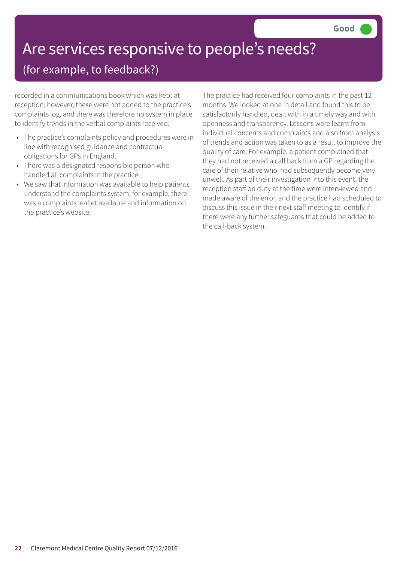# Are services responsive to people's needs?

### (for example, to feedback?)

recorded in a communications book which was kept at reception; however, these were not added to the practice's complaints log, and there was therefore no system in place to identify trends in the verbal complaints received.

- The practice's complaints policy and procedures were in line with recognised guidance and contractual obligations for GPs in England.
- There was a designated responsible person who handled all complaints in the practice.
- We saw that information was available to help patients understand the complaints system, for example, there was a complaints leaflet available and information on the practice's website.

The practice had received four complaints in the past 12 months. We looked at one in detail and found this to be satisfactorily handled, dealt with in a timely way and with openness and transparency. Lessons were learnt from individual concerns and complaints and also from analysis of trends and action was taken to as a result to improve the quality of care. For example, a patient complained that they had not received a call back from a GP regarding the care of their relative who had subsequently become very unwell. As part of their investigation into this event, the reception staff on duty at the time were interviewed and made aware of the error, and the practice had scheduled to discuss this issue in their next staff meeting to identify if there were any further safeguards that could be added to the call-back system.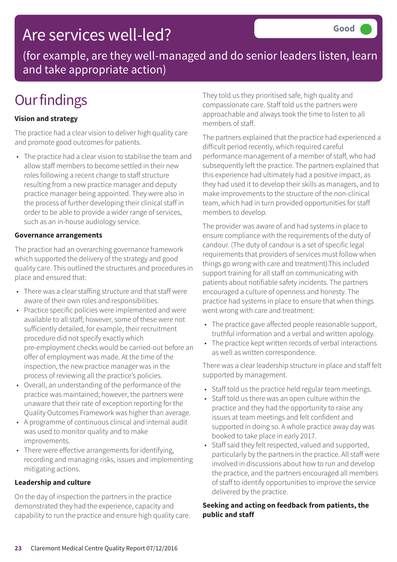### Are services well-led?

(for example, are they well-managed and do senior leaders listen, learn and take appropriate action)

## **Our findings**

#### **Vision and strategy**

The practice had a clear vision to deliver high quality care and promote good outcomes for patients.

• The practice had a clear vision to stabilise the team and allow staff members to become settled in their new roles following a recent change to staff structure resulting from a new practice manager and deputy practice manager being appointed. They were also in the process of further developing their clinical staff in order to be able to provide a wider range of services, such as an in-house audiology service.

#### **Governance arrangements**

The practice had an overarching governance framework which supported the delivery of the strategy and good quality care. This outlined the structures and procedures in place and ensured that:

- There was a clear staffing structure and that staff were aware of their own roles and responsibilities.
- Practice specific policies were implemented and were available to all staff; however, some of these were not sufficiently detailed, for example, their recruitment procedure did not specify exactly which pre-employment checks would be carried-out before an offer of employment was made. At the time of the inspection, the new practice manager was in the process of reviewing all the practice's policies.
- Overall, an understanding of the performance of the practice was maintained; however, the partners were unaware that their rate of exception reporting for the Quality Outcomes Framework was higher than average.
- A programme of continuous clinical and internal audit was used to monitor quality and to make improvements.
- There were effective arrangements for identifying, recording and managing risks, issues and implementing mitigating actions.

#### **Leadership and culture**

On the day of inspection the partners in the practice demonstrated they had the experience, capacity and capability to run the practice and ensure high quality care. They told us they prioritised safe, high quality and compassionate care. Staff told us the partners were approachable and always took the time to listen to all members of staff.

The partners explained that the practice had experienced a difficult period recently, which required careful performance management of a member of staff, who had subsequently left the practice. The partners explained that this experience had ultimately had a positive impact, as they had used it to develop their skills as managers, and to make improvements to the structure of the non-clinical team, which had in turn provided opportunities for staff members to develop.

The provider was aware of and had systems in place to ensure compliance with the requirements of the duty of candour. (The duty of candour is a set of specific legal requirements that providers of services must follow when things go wrong with care and treatment).This included support training for all staff on communicating with patients about notifiable safety incidents. The partners encouraged a culture of openness and honesty. The practice had systems in place to ensure that when things went wrong with care and treatment:

- The practice gave affected people reasonable support, truthful information and a verbal and written apology.
- The practice kept written records of verbal interactions as well as written correspondence.

There was a clear leadership structure in place and staff felt supported by management.

- Staff told us the practice held regular team meetings.
- Staff told us there was an open culture within the practice and they had the opportunity to raise any issues at team meetings and felt confident and supported in doing so. A whole practice away day was booked to take place in early 2017.
- Staff said they felt respected, valued and supported, particularly by the partners in the practice. All staff were involved in discussions about how to run and develop the practice, and the partners encouraged all members of staff to identify opportunities to improve the service delivered by the practice.

#### **Seeking and acting on feedback from patients, the public and staff**